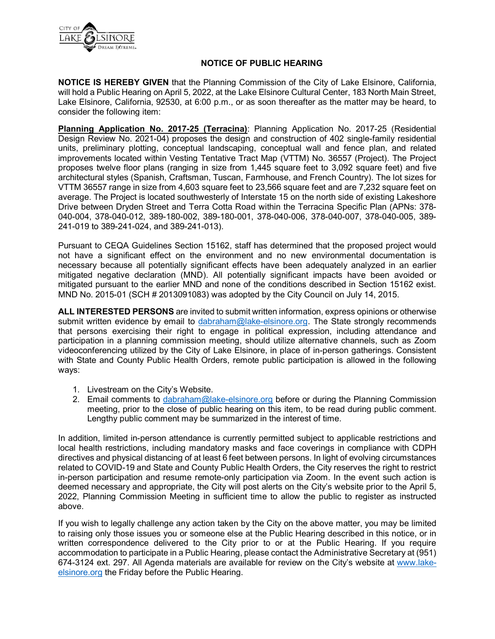

## **NOTICE OF PUBLIC HEARING**

**NOTICE IS HEREBY GIVEN** that the Planning Commission of the City of Lake Elsinore, California, will hold a Public Hearing on April 5, 2022, at the Lake Elsinore Cultural Center, 183 North Main Street, Lake Elsinore, California, 92530, at 6:00 p.m., or as soon thereafter as the matter may be heard, to consider the following item:

**Planning Application No. 2017-25 (Terracina)**: Planning Application No. 2017-25 (Residential Design Review No. 2021-04) proposes the design and construction of 402 single-family residential units, preliminary plotting, conceptual landscaping, conceptual wall and fence plan, and related improvements located within Vesting Tentative Tract Map (VTTM) No. 36557 (Project). The Project proposes twelve floor plans (ranging in size from 1,445 square feet to 3,092 square feet) and five architectural styles (Spanish, Craftsman, Tuscan, Farmhouse, and French Country). The lot sizes for VTTM 36557 range in size from 4,603 square feet to 23,566 square feet and are 7,232 square feet on average. The Project is located southwesterly of Interstate 15 on the north side of existing Lakeshore Drive between Dryden Street and Terra Cotta Road within the Terracina Specific Plan (APNs: 378- 040-004, 378-040-012, 389-180-002, 389-180-001, 378-040-006, 378-040-007, 378-040-005, 389- 241-019 to 389-241-024, and 389-241-013).

Pursuant to CEQA Guidelines Section 15162, staff has determined that the proposed project would not have a significant effect on the environment and no new environmental documentation is necessary because all potentially significant effects have been adequately analyzed in an earlier mitigated negative declaration (MND). All potentially significant impacts have been avoided or mitigated pursuant to the earlier MND and none of the conditions described in Section 15162 exist. MND No. 2015-01 (SCH # 2013091083) was adopted by the City Council on July 14, 2015.

**ALL INTERESTED PERSONS** are invited to submit written information, express opinions or otherwise submit written evidence by email to [dabraham@lake-elsinore.org.](mailto:dabraham@lake-elsinore.org) The State strongly recommends that persons exercising their right to engage in political expression, including attendance and participation in a planning commission meeting, should utilize alternative channels, such as Zoom videoconferencing utilized by the City of Lake Elsinore, in place of in-person gatherings. Consistent with State and County Public Health Orders, remote public participation is allowed in the following ways:

- 1. Livestream on the City's Website.
- 2. Email comments to [dabraham@lake-elsinore.org](mailto:dabraham@lake-elsinore.org) before or during the Planning Commission meeting, prior to the close of public hearing on this item, to be read during public comment. Lengthy public comment may be summarized in the interest of time.

In addition, limited in-person attendance is currently permitted subject to applicable restrictions and local health restrictions, including mandatory masks and face coverings in compliance with CDPH directives and physical distancing of at least 6 feet between persons. In light of evolving circumstances related to COVID-19 and State and County Public Health Orders, the City reserves the right to restrict in-person participation and resume remote-only participation via Zoom. In the event such action is deemed necessary and appropriate, the City will post alerts on the City's website prior to the April 5, 2022, Planning Commission Meeting in sufficient time to allow the public to register as instructed above.

If you wish to legally challenge any action taken by the City on the above matter, you may be limited to raising only those issues you or someone else at the Public Hearing described in this notice, or in written correspondence delivered to the City prior to or at the Public Hearing. If you require accommodation to participate in a Public Hearing, please contact the Administrative Secretary at (951) 674-3124 ext. 297. All Agenda materials are available for review on the City's website at [www.lake](http://www.lake-elsinore.org/)[elsinore.org](http://www.lake-elsinore.org/) the Friday before the Public Hearing.